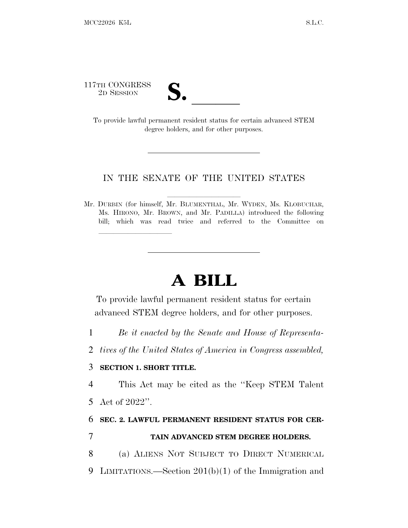117TH CONGRESS

TH CONGRESS<br>
2D SESSION<br>
To provide lawful permanent resident status for certain advanced STEM degree holders, and for other purposes.

## IN THE SENATE OF THE UNITED STATES

Mr. DURBIN (for himself, Mr. BLUMENTHAL, Mr. WYDEN, Ms. KLOBUCHAR, Ms. HIRONO, Mr. BROWN, and Mr. PADILLA) introduced the following bill; which was read twice and referred to the Committee on

## **A BILL**

To provide lawful permanent resident status for certain advanced STEM degree holders, and for other purposes.

- 1 *Be it enacted by the Senate and House of Representa-*
- 2 *tives of the United States of America in Congress assembled,*

## 3 **SECTION 1. SHORT TITLE.**

lland and a state of the state of the state of the state of the state of the state of the state of the state o

4 This Act may be cited as the ''Keep STEM Talent 5 Act of 2022''.

6 **SEC. 2. LAWFUL PERMANENT RESIDENT STATUS FOR CER-**

## 7 **TAIN ADVANCED STEM DEGREE HOLDERS.**

8 (a) ALIENS NOT SUBJECT TO DIRECT NUMERICAL 9 LIMITATIONS.—Section 201(b)(1) of the Immigration and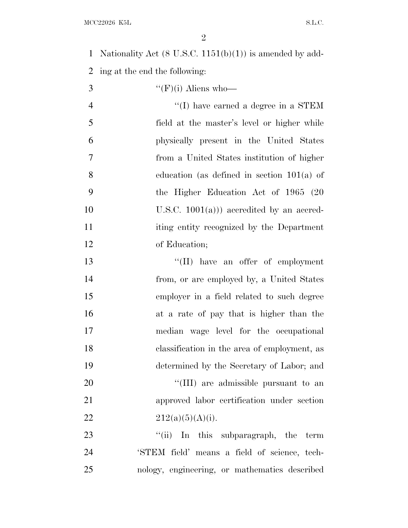$\rm{MCC}22026 \;\; K5L \qquad \qquad S.L.C.$ 

 Nationality Act (8 U.S.C. 1151(b)(1)) is amended by add-ing at the end the following:

| 3              | " $(F)(i)$ Aliens who—                       |
|----------------|----------------------------------------------|
| $\overline{4}$ | $\lq\lq$ (I) have earned a degree in a STEM  |
| 5              | field at the master's level or higher while  |
| 6              | physically present in the United States      |
| 7              | from a United States institution of higher   |
| 8              | education (as defined in section $101(a)$ of |
| 9              | the Higher Education Act of 1965 (20         |
| 10             | U.S.C. $1001(a))$ accredited by an accred-   |
| 11             | iting entity recognized by the Department    |
| 12             | of Education;                                |
| 13             | "(II) have an offer of employment            |
| 14             | from, or are employed by, a United States    |
| 15             | employer in a field related to such degree   |
| 16             | at a rate of pay that is higher than the     |
| 17             | median wage level for the occupational       |
| 18             | classification in the area of employment, as |
| 19             | determined by the Secretary of Labor; and    |
| 20             | "(III) are admissible pursuant to an         |
| 21             | approved labor certification under section   |
| 22             | 212(a)(5)(A)(i).                             |
| 23             | "(ii) In this subparagraph, the term         |
| 24             | 'STEM field' means a field of science, tech- |
|                |                                              |

nology, engineering, or mathematics described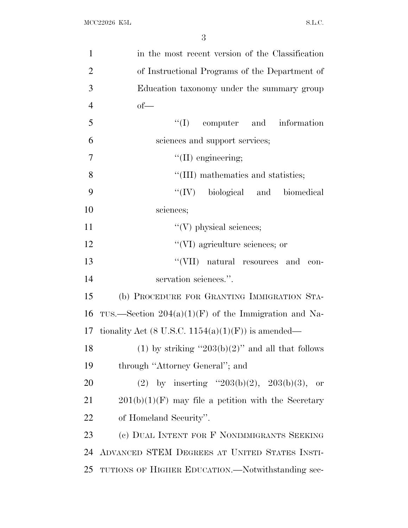| $\mathbf{1}$   | in the most recent version of the Classification       |
|----------------|--------------------------------------------------------|
| $\overline{2}$ | of Instructional Programs of the Department of         |
| 3              | Education taxonomy under the summary group             |
| $\overline{4}$ | $of$ —                                                 |
| 5              | $\lq\lq$ (I) computer and information                  |
| 6              | sciences and support services;                         |
| $\overline{7}$ | $\lq\lq$ (II) engineering;                             |
| 8              | "(III) mathematics and statistics;                     |
| 9              | "(IV) biological and biomedical                        |
| 10             | sciences;                                              |
| 11             | $\lq\lq(V)$ physical sciences;                         |
| 12             | "(VI) agriculture sciences; or                         |
| 13             | $``(VII)$ natural resources and<br>con-                |
| 14             | servation sciences.".                                  |
| 15             | (b) PROCEDURE FOR GRANTING IMMIGRATION STA-            |
| 16             | TUS.—Section $204(a)(1)(F)$ of the Immigration and Na- |
| 17             | tionality Act (8 U.S.C. 1154(a)(1)(F)) is amended—     |
| 18             | (1) by striking " $203(b)(2)$ " and all that follows   |
| 19             | through "Attorney General"; and                        |
| 20             | (2) by inserting " $203(b)(2)$ , $203(b)(3)$ ,<br>- or |
| 21             | $201(b)(1)(F)$ may file a petition with the Secretary  |
| 22             | of Homeland Security".                                 |
| 23             | (c) DUAL INTENT FOR F NONIMMIGRANTS SEEKING            |
| 24             | ADVANCED STEM DEGREES AT UNITED STATES INSTI-          |
| 25             | TUTIONS OF HIGHER EDUCATION.—Notwithstanding sec-      |